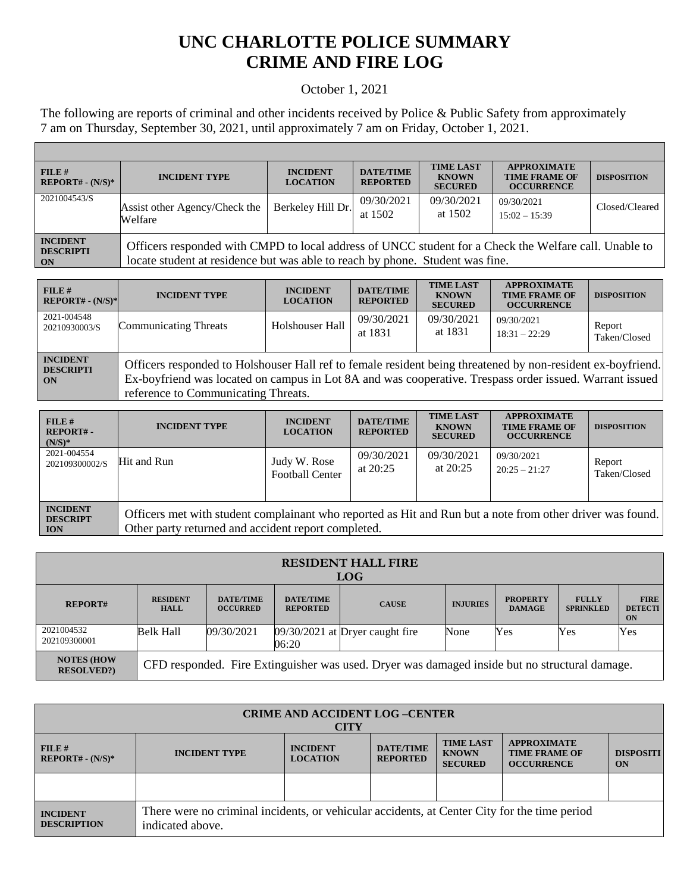## **UNC CHARLOTTE POLICE SUMMARY CRIME AND FIRE LOG**

## October 1, 2021

The following are reports of criminal and other incidents received by Police & Public Safety from approximately 7 am on Thursday, September 30, 2021, until approximately 7 am on Friday, October 1, 2021.

Г

| FILE#<br>$REPORT# - (N/S)*$                                        | <b>INCIDENT TYPE</b>                                                                                                                                                                   | <b>INCIDENT</b><br><b>LOCATION</b> | <b>DATE/TIME</b><br><b>REPORTED</b> | <b>TIME LAST</b><br><b>KNOWN</b><br><b>SECURED</b> | <b>APPROXIMATE</b><br><b>TIME FRAME OF</b><br><b>OCCURRENCE</b> | <b>DISPOSITION</b> |
|--------------------------------------------------------------------|----------------------------------------------------------------------------------------------------------------------------------------------------------------------------------------|------------------------------------|-------------------------------------|----------------------------------------------------|-----------------------------------------------------------------|--------------------|
| 2021004543/S                                                       | Assist other Agency/Check the<br>Welfare                                                                                                                                               | Berkeley Hill Dr.                  | 09/30/2021<br>at 1502               | 09/30/2021<br>at 1502                              | 09/30/2021<br>$15:02 - 15:39$                                   | Closed/Cleared     |
| <b>INCIDENT</b><br><b>DESCRIPTI</b><br>$\overline{\phantom{a}}$ ON | Officers responded with CMPD to local address of UNCC student for a Check the Welfare call. Unable to<br>locate student at residence but was able to reach by phone. Student was fine. |                                    |                                     |                                                    |                                                                 |                    |

| $FILE$ #<br>$REPORT# - (N/S)*$            | <b>INCIDENT TYPE</b>                                                                                                                                                                                                                                          | <b>INCIDENT</b><br><b>LOCATION</b> | <b>DATE/TIME</b><br><b>REPORTED</b> | <b>TIME LAST</b><br><b>KNOWN</b><br><b>SECURED</b> | <b>APPROXIMATE</b><br><b>TIME FRAME OF</b><br><b>OCCURRENCE</b> | <b>DISPOSITION</b>     |
|-------------------------------------------|---------------------------------------------------------------------------------------------------------------------------------------------------------------------------------------------------------------------------------------------------------------|------------------------------------|-------------------------------------|----------------------------------------------------|-----------------------------------------------------------------|------------------------|
| 2021-004548<br>20210930003/S              | <b>Communicating Threats</b>                                                                                                                                                                                                                                  | Holshouser Hall                    | 09/30/2021<br>at 1831               | 09/30/2021<br>at 1831                              | 09/30/2021<br>$18:31 - 22:29$                                   | Report<br>Taken/Closed |
| <b>INCIDENT</b><br><b>DESCRIPTI</b><br>ON | Officers responded to Holshouser Hall ref to female resident being threatened by non-resident ex-boyfriend.<br>Ex-boyfriend was located on campus in Lot 8A and was cooperative. Trespass order issued. Warrant issued<br>reference to Communicating Threats. |                                    |                                     |                                                    |                                                                 |                        |

| FILE#<br>$REPORT# -$<br>$(N/S)*$                 | <b>INCIDENT TYPE</b>                                                                                                                                             | <b>INCIDENT</b><br><b>LOCATION</b>     | <b>DATE/TIME</b><br><b>REPORTED</b> | <b>TIME LAST</b><br><b>KNOWN</b><br><b>SECURED</b> | <b>APPROXIMATE</b><br><b>TIME FRAME OF</b><br><b>OCCURRENCE</b> | <b>DISPOSITION</b>     |
|--------------------------------------------------|------------------------------------------------------------------------------------------------------------------------------------------------------------------|----------------------------------------|-------------------------------------|----------------------------------------------------|-----------------------------------------------------------------|------------------------|
| 2021-004554<br>202109300002/S                    | Hit and Run                                                                                                                                                      | Judy W. Rose<br><b>Football Center</b> | 09/30/2021<br>at $20:25$            | 09/30/2021<br>at $20:25$                           | 09/30/2021<br>$20:25 - 21:27$                                   | Report<br>Taken/Closed |
| <b>INCIDENT</b><br><b>DESCRIPT</b><br><b>ION</b> | Officers met with student complainant who reported as Hit and Run but a note from other driver was found.<br>Other party returned and accident report completed. |                                        |                                     |                                                    |                                                                 |                        |

| <b>RESIDENT HALL FIRE</b><br><b>LOG</b> |                                                                                               |                                     |                                     |                                   |                 |                                  |                                  |                                     |
|-----------------------------------------|-----------------------------------------------------------------------------------------------|-------------------------------------|-------------------------------------|-----------------------------------|-----------------|----------------------------------|----------------------------------|-------------------------------------|
| <b>REPORT#</b>                          | <b>RESIDENT</b><br><b>HALL</b>                                                                | <b>DATE/TIME</b><br><b>OCCURRED</b> | <b>DATE/TIME</b><br><b>REPORTED</b> | <b>CAUSE</b>                      | <b>INJURIES</b> | <b>PROPERTY</b><br><b>DAMAGE</b> | <b>FULLY</b><br><b>SPRINKLED</b> | <b>FIRE</b><br><b>DETECTI</b><br>ON |
| 2021004532<br>202109300001              | <b>Belk Hall</b>                                                                              | 09/30/2021                          | 06:20                               | $09/30/2021$ at Dryer caught fire | None            | Yes                              | Yes                              | Yes                                 |
| <b>NOTES (HOW</b><br><b>RESOLVED?)</b>  | CFD responded. Fire Extinguisher was used. Dryer was damaged inside but no structural damage. |                                     |                                     |                                   |                 |                                  |                                  |                                     |

| <b>CRIME AND ACCIDENT LOG-CENTER</b><br><b>CITY</b> |                                                                                                                                                                                                                                                      |  |  |  |  |  |  |
|-----------------------------------------------------|------------------------------------------------------------------------------------------------------------------------------------------------------------------------------------------------------------------------------------------------------|--|--|--|--|--|--|
| $FILE$ #<br>$REPORT# - (N/S)*$                      | <b>TIME LAST</b><br><b>APPROXIMATE</b><br><b>DATE/TIME</b><br><b>INCIDENT</b><br><b>INCIDENT TYPE</b><br><b>KNOWN</b><br><b>DISPOSITI</b><br><b>TIME FRAME OF</b><br><b>LOCATION</b><br><b>REPORTED</b><br><b>SECURED</b><br><b>OCCURRENCE</b><br>ON |  |  |  |  |  |  |
|                                                     |                                                                                                                                                                                                                                                      |  |  |  |  |  |  |
| <b>INCIDENT</b><br><b>DESCRIPTION</b>               | There were no criminal incidents, or vehicular accidents, at Center City for the time period<br>indicated above.                                                                                                                                     |  |  |  |  |  |  |